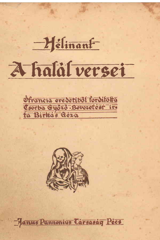## A haläl versei

 $-2$  $\epsilon$ linant





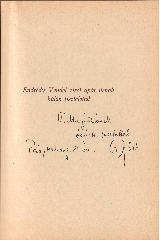Endrédy Vendel zirci apát úrnak hálás tisztelettel

V. Margillians)<br>J. Margillians)<br>Pais, 1942. aug. 21-eu. (13.) 523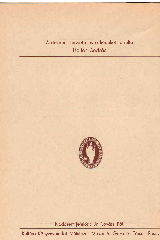A cimlapot tervezte és a képeket rajzolta: Holler András.



Kiadásért felelős : Dr. Lovász Pál.

Kultúra Könyvnyomdai Műintézet Mayer A. Géza és Társai, Pécs.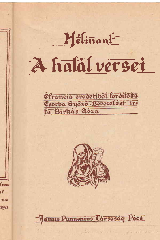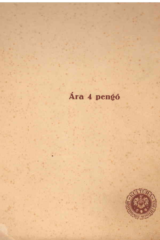## Ára 4 pengő

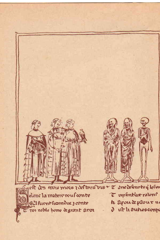

elt des trois mors reclimitus + T anodelento q le for T replint last rators elonc la matere vous conte h Aroudeplour no althurnthomduc z conte d ist hautres compi nor noble home degrant arou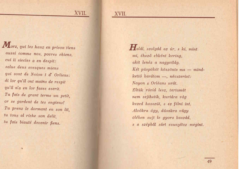XVII.

Morz, qui les hauz en prison tiens aussi comme nos, povres chiens. cui li siecles a en despit: salue deus evesques miens qui sont de Noion t d' Orliens: di lor qu'il ont mains de respit qu'il n'a en lor faces escrit. Tu fais de grant terme un petit, or se gardent de tes engiens! Tu prenz le dormant en son lit, tu tous al riche son delit. tu fais biauté devenir fiens.

Halál, szolgád az úr, s ki, mint mi, éhező ebként kering, akit lenéz a nagyvilág. Két püspököt köszönts ma – mindkettő barátom - névszerint: Noyon s Orléans urát. Éltük rövid lesz, tartamát nem sejthetik, kurtára vág kezed hosszút, s ez félni int. Alvókra ágy, dúsakra vágy ölében sujt le gyors kaszád, s a szépből sárt csunyítsz megint.